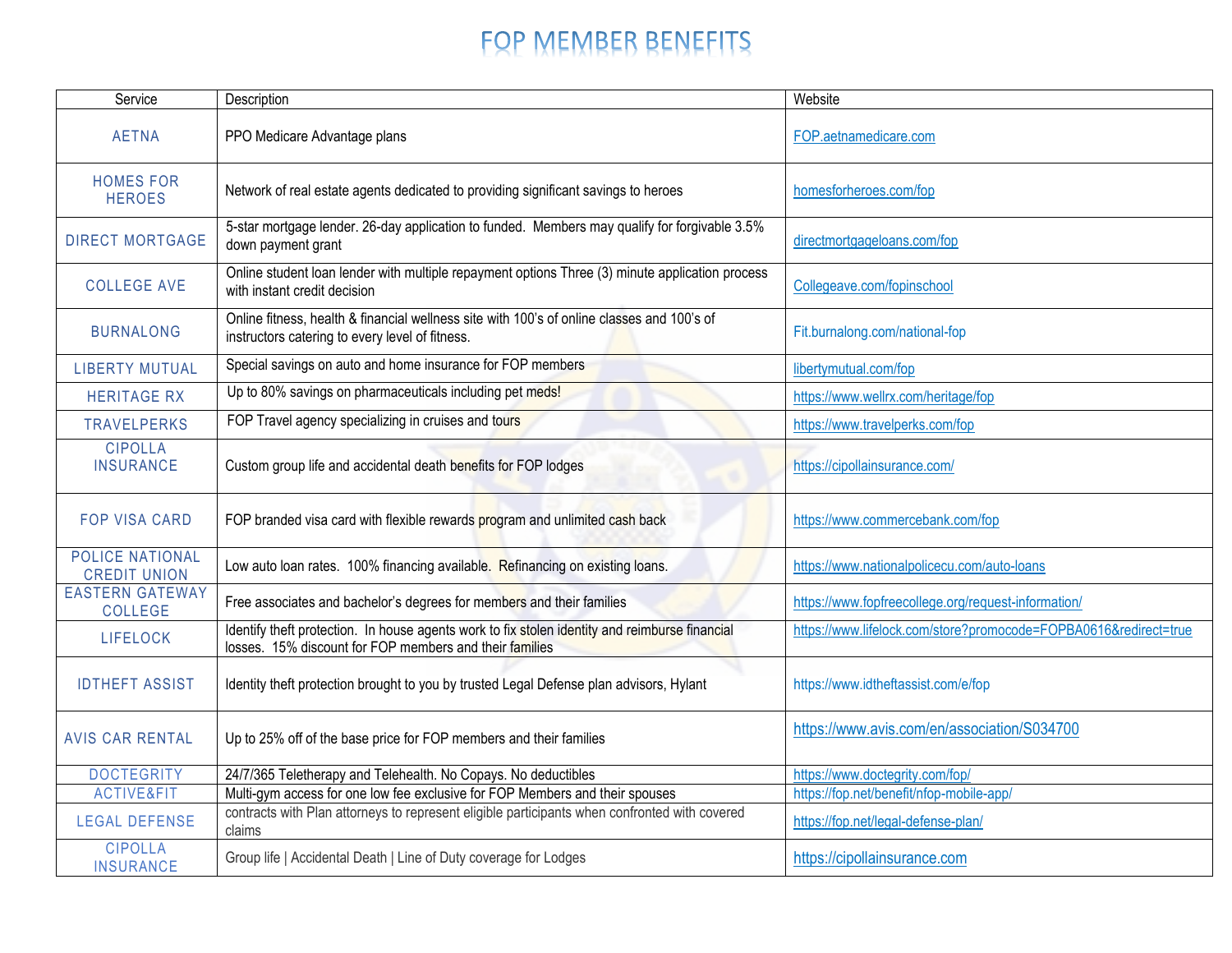## FOP MEMBER BENEFITS

| Service                                | Description                                                                                                                                               | Website                                                          |
|----------------------------------------|-----------------------------------------------------------------------------------------------------------------------------------------------------------|------------------------------------------------------------------|
| <b>AETNA</b>                           | PPO Medicare Advantage plans                                                                                                                              | FOP.aetnamedicare.com                                            |
| <b>HOMES FOR</b><br><b>HEROES</b>      | Network of real estate agents dedicated to providing significant savings to heroes                                                                        | homesforheroes.com/fop                                           |
| <b>DIRECT MORTGAGE</b>                 | 5-star mortgage lender. 26-day application to funded. Members may qualify for forgivable 3.5%<br>down payment grant                                       | directmortgageloans.com/fop                                      |
| <b>COLLEGE AVE</b>                     | Online student loan lender with multiple repayment options Three (3) minute application process<br>with instant credit decision                           | Collegeave.com/fopinschool                                       |
| <b>BURNALONG</b>                       | Online fitness, health & financial wellness site with 100's of online classes and 100's of<br>instructors catering to every level of fitness.             | Fit.burnalong.com/national-fop                                   |
| <b>LIBERTY MUTUAL</b>                  | Special savings on auto and home insurance for FOP members                                                                                                | libertymutual.com/fop                                            |
| <b>HERITAGE RX</b>                     | Up to 80% savings on pharmaceuticals including pet meds!                                                                                                  | https://www.wellrx.com/heritage/fop                              |
| <b>TRAVELPERKS</b>                     | FOP Travel agency specializing in cruises and tours                                                                                                       | https://www.travelperks.com/fop                                  |
| <b>CIPOLLA</b><br><b>INSURANCE</b>     | Custom group life and accidental death benefits for FOP lodges                                                                                            | https://cipollainsurance.com/                                    |
| <b>FOP VISA CARD</b>                   | FOP branded visa card with flexible rewards program and unlimited cash back                                                                               | https://www.commercebank.com/fop                                 |
| POLICE NATIONAL<br><b>CREDIT UNION</b> | Low auto loan rates. 100% financing available. Refinancing on existing loans.                                                                             | https://www.nationalpolicecu.com/auto-loans                      |
| <b>EASTERN GATEWAY</b><br>COLLEGE      | Free associates and bachelor's degrees for members and their families                                                                                     | https://www.fopfreecollege.org/request-information/              |
| <b>LIFELOCK</b>                        | Identify theft protection. In house agents work to fix stolen identity and reimburse financial<br>losses. 15% discount for FOP members and their families | https://www.lifelock.com/store?promocode=FOPBA0616&redirect=true |
| <b>IDTHEFT ASSIST</b>                  | Identity theft protection brought to you by trusted Legal Defense plan advisors, Hylant                                                                   | https://www.idtheftassist.com/e/fop                              |
| <b>AVIS CAR RENTAL</b>                 | Up to 25% off of the base price for FOP members and their families                                                                                        | https://www.avis.com/en/association/S034700                      |
| <b>DOCTEGRITY</b>                      | 24/7/365 Teletherapy and Telehealth. No Copays. No deductibles                                                                                            | https://www.doctegrity.com/fop/                                  |
| ACTIVE&FIT                             | Multi-gym access for one low fee exclusive for FOP Members and their spouses                                                                              | https://fop.net/benefit/nfop-mobile-app/                         |
| <b>LEGAL DEFENSE</b>                   | contracts with Plan attorneys to represent eligible participants when confronted with covered<br>claims                                                   | https://fop.net/legal-defense-plan/                              |
| <b>CIPOLLA</b><br><b>INSURANCE</b>     | Group life   Accidental Death   Line of Duty coverage for Lodges                                                                                          | https://cipollainsurance.com                                     |